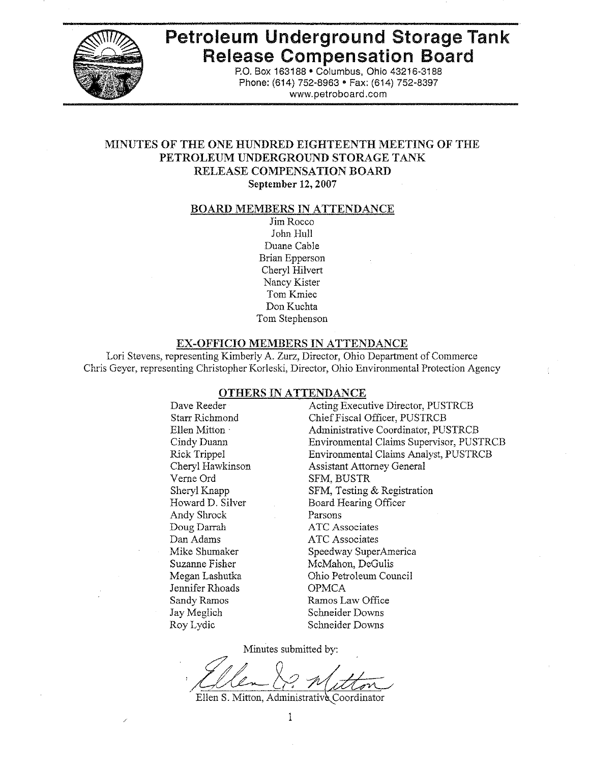

# **Petroleum Underground Storage Tank Release Compensation Board**

P.O. Box 163188 · Columbus, Ohio 43216-3188 Phone: (614) 752-8963 · Fax: (614) 752-8397 www.petroboard.com

## MINUTES OF THE ONE HUNDRED EIGHTEENTH MEETING OF THE PETROLEUM UNDERGROUND STORAGE TANK **RELEASE COMPENSATION BOARD**

September 12, 2007

#### <u>BOARD MEMBERS IN ATTENDANCE</u>

Jim Rocco John Hull Duane Cable **Brian Epperson** Cheryl Hilvert Nancy Kister Tom Kmiec Don Kuchta Tom Stephenson

#### EX-OFFICIO MEMBERS IN ATTENDANCE

Lori Stevens, representing Kimberly A. Zurz, Director, Ohio Department of Commerce Chris Geyer, representing Christopher Korleski, Director, Ohio Environmental Protection Agency

#### OTHERS IN ATTENDANCE

Dave Reeder **Starr Richmond** Ellen Mitton Cindy Duann Rick Trippel Cheryl Hawkinson Verne Ord Shervl Knapp Howard D. Silver Andy Shrock Doug Darrah Dan Adams Mike Shumaker Suzanne Fisher Megan Lashutka Jennifer Rhoads Sandy Ramos Jay Meglich Roy Lydic

Acting Executive Director, PUSTRCB Chief Fiscal Officer, PUSTRCB Administrative Coordinator, PUSTRCB Environmental Claims Supervisor, PUSTRCB Environmental Claims Analyst, PUSTRCB **Assistant Attorney General** SFM, BUSTR SFM, Testing & Registration Board Hearing Officer Parsons **ATC** Associates **ATC** Associates Speedway SuperAmerica McMahon, DeGulis Ohio Petroleum Council **OPMCA** Ramos Law Office Schneider Downs Schneider Downs

Minutes submitted by:

Ellen S. Mitton, Administrative Coordinator

 $\mathbf{1}$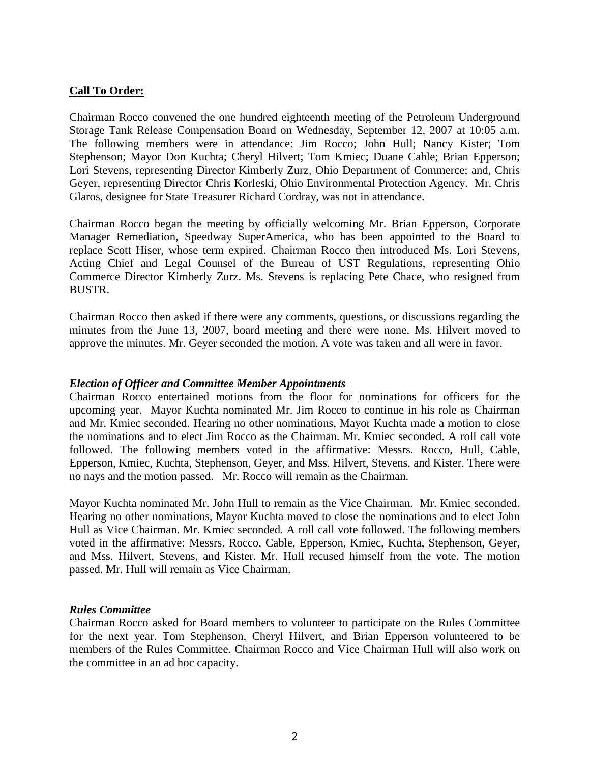## **Call To Order:**

Chairman Rocco convened the one hundred eighteenth meeting of the Petroleum Underground Storage Tank Release Compensation Board on Wednesday, September 12, 2007 at 10:05 a.m. The following members were in attendance: Jim Rocco; John Hull; Nancy Kister; Tom Stephenson; Mayor Don Kuchta; Cheryl Hilvert; Tom Kmiec; Duane Cable; Brian Epperson; Lori Stevens, representing Director Kimberly Zurz, Ohio Department of Commerce; and, Chris Geyer, representing Director Chris Korleski, Ohio Environmental Protection Agency. Mr. Chris Glaros, designee for State Treasurer Richard Cordray, was not in attendance.

Chairman Rocco began the meeting by officially welcoming Mr. Brian Epperson, Corporate Manager Remediation, Speedway SuperAmerica, who has been appointed to the Board to replace Scott Hiser, whose term expired. Chairman Rocco then introduced Ms. Lori Stevens, Acting Chief and Legal Counsel of the Bureau of UST Regulations, representing Ohio Commerce Director Kimberly Zurz. Ms. Stevens is replacing Pete Chace, who resigned from BUSTR.

Chairman Rocco then asked if there were any comments, questions, or discussions regarding the minutes from the June 13, 2007, board meeting and there were none. Ms. Hilvert moved to approve the minutes. Mr. Geyer seconded the motion. A vote was taken and all were in favor.

#### *Election of Officer and Committee Member Appointments*

Chairman Rocco entertained motions from the floor for nominations for officers for the upcoming year. Mayor Kuchta nominated Mr. Jim Rocco to continue in his role as Chairman and Mr. Kmiec seconded. Hearing no other nominations, Mayor Kuchta made a motion to close the nominations and to elect Jim Rocco as the Chairman. Mr. Kmiec seconded. A roll call vote followed. The following members voted in the affirmative: Messrs. Rocco, Hull, Cable, Epperson, Kmiec, Kuchta, Stephenson, Geyer, and Mss. Hilvert, Stevens, and Kister. There were no nays and the motion passed. Mr. Rocco will remain as the Chairman.

Mayor Kuchta nominated Mr. John Hull to remain as the Vice Chairman. Mr. Kmiec seconded. Hearing no other nominations, Mayor Kuchta moved to close the nominations and to elect John Hull as Vice Chairman. Mr. Kmiec seconded. A roll call vote followed. The following members voted in the affirmative: Messrs. Rocco, Cable, Epperson, Kmiec, Kuchta, Stephenson, Geyer, and Mss. Hilvert, Stevens, and Kister. Mr. Hull recused himself from the vote. The motion passed. Mr. Hull will remain as Vice Chairman.

#### *Rules Committee*

Chairman Rocco asked for Board members to volunteer to participate on the Rules Committee for the next year. Tom Stephenson, Cheryl Hilvert, and Brian Epperson volunteered to be members of the Rules Committee. Chairman Rocco and Vice Chairman Hull will also work on the committee in an ad hoc capacity.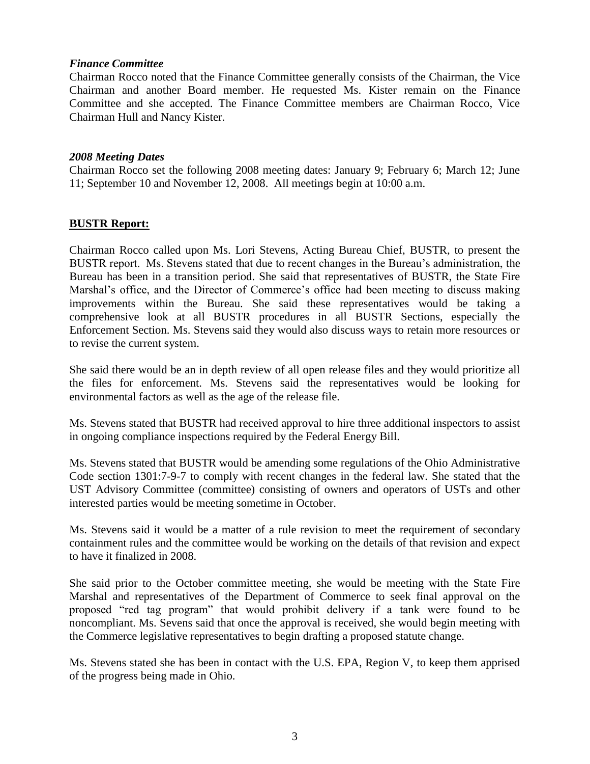## *Finance Committee*

Chairman Rocco noted that the Finance Committee generally consists of the Chairman, the Vice Chairman and another Board member. He requested Ms. Kister remain on the Finance Committee and she accepted. The Finance Committee members are Chairman Rocco, Vice Chairman Hull and Nancy Kister.

## *2008 Meeting Dates*

Chairman Rocco set the following 2008 meeting dates: January 9; February 6; March 12; June 11; September 10 and November 12, 2008. All meetings begin at 10:00 a.m.

## **BUSTR Report:**

Chairman Rocco called upon Ms. Lori Stevens, Acting Bureau Chief, BUSTR, to present the BUSTR report. Ms. Stevens stated that due to recent changes in the Bureau's administration, the Bureau has been in a transition period. She said that representatives of BUSTR, the State Fire Marshal's office, and the Director of Commerce's office had been meeting to discuss making improvements within the Bureau. She said these representatives would be taking a comprehensive look at all BUSTR procedures in all BUSTR Sections, especially the Enforcement Section. Ms. Stevens said they would also discuss ways to retain more resources or to revise the current system.

She said there would be an in depth review of all open release files and they would prioritize all the files for enforcement. Ms. Stevens said the representatives would be looking for environmental factors as well as the age of the release file.

Ms. Stevens stated that BUSTR had received approval to hire three additional inspectors to assist in ongoing compliance inspections required by the Federal Energy Bill.

Ms. Stevens stated that BUSTR would be amending some regulations of the Ohio Administrative Code section 1301:7-9-7 to comply with recent changes in the federal law. She stated that the UST Advisory Committee (committee) consisting of owners and operators of USTs and other interested parties would be meeting sometime in October.

Ms. Stevens said it would be a matter of a rule revision to meet the requirement of secondary containment rules and the committee would be working on the details of that revision and expect to have it finalized in 2008.

She said prior to the October committee meeting, she would be meeting with the State Fire Marshal and representatives of the Department of Commerce to seek final approval on the proposed "red tag program" that would prohibit delivery if a tank were found to be noncompliant. Ms. Sevens said that once the approval is received, she would begin meeting with the Commerce legislative representatives to begin drafting a proposed statute change.

Ms. Stevens stated she has been in contact with the U.S. EPA, Region V, to keep them apprised of the progress being made in Ohio.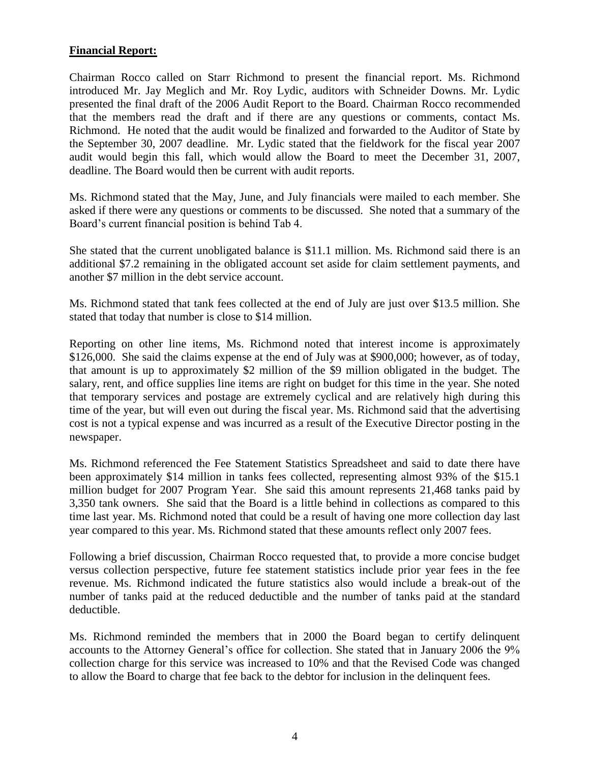## **Financial Report:**

Chairman Rocco called on Starr Richmond to present the financial report. Ms. Richmond introduced Mr. Jay Meglich and Mr. Roy Lydic, auditors with Schneider Downs. Mr. Lydic presented the final draft of the 2006 Audit Report to the Board. Chairman Rocco recommended that the members read the draft and if there are any questions or comments, contact Ms. Richmond. He noted that the audit would be finalized and forwarded to the Auditor of State by the September 30, 2007 deadline. Mr. Lydic stated that the fieldwork for the fiscal year 2007 audit would begin this fall, which would allow the Board to meet the December 31, 2007, deadline. The Board would then be current with audit reports.

Ms. Richmond stated that the May, June, and July financials were mailed to each member. She asked if there were any questions or comments to be discussed. She noted that a summary of the Board's current financial position is behind Tab 4.

She stated that the current unobligated balance is \$11.1 million. Ms. Richmond said there is an additional \$7.2 remaining in the obligated account set aside for claim settlement payments, and another \$7 million in the debt service account.

Ms. Richmond stated that tank fees collected at the end of July are just over \$13.5 million. She stated that today that number is close to \$14 million.

Reporting on other line items, Ms. Richmond noted that interest income is approximately \$126,000. She said the claims expense at the end of July was at \$900,000; however, as of today, that amount is up to approximately \$2 million of the \$9 million obligated in the budget. The salary, rent, and office supplies line items are right on budget for this time in the year. She noted that temporary services and postage are extremely cyclical and are relatively high during this time of the year, but will even out during the fiscal year. Ms. Richmond said that the advertising cost is not a typical expense and was incurred as a result of the Executive Director posting in the newspaper.

Ms. Richmond referenced the Fee Statement Statistics Spreadsheet and said to date there have been approximately \$14 million in tanks fees collected, representing almost 93% of the \$15.1 million budget for 2007 Program Year. She said this amount represents 21,468 tanks paid by 3,350 tank owners. She said that the Board is a little behind in collections as compared to this time last year. Ms. Richmond noted that could be a result of having one more collection day last year compared to this year. Ms. Richmond stated that these amounts reflect only 2007 fees.

Following a brief discussion, Chairman Rocco requested that, to provide a more concise budget versus collection perspective, future fee statement statistics include prior year fees in the fee revenue. Ms. Richmond indicated the future statistics also would include a break-out of the number of tanks paid at the reduced deductible and the number of tanks paid at the standard deductible.

Ms. Richmond reminded the members that in 2000 the Board began to certify delinquent accounts to the Attorney General's office for collection. She stated that in January 2006 the 9% collection charge for this service was increased to 10% and that the Revised Code was changed to allow the Board to charge that fee back to the debtor for inclusion in the delinquent fees.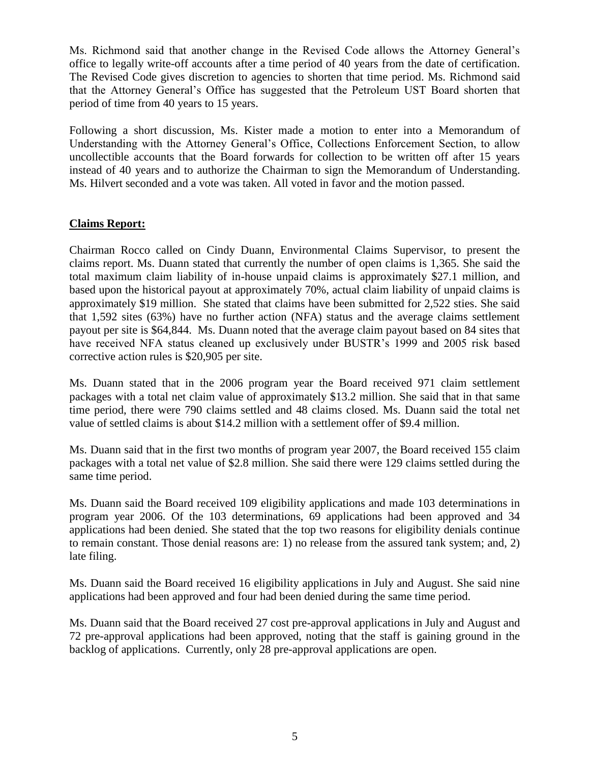Ms. Richmond said that another change in the Revised Code allows the Attorney General's office to legally write-off accounts after a time period of 40 years from the date of certification. The Revised Code gives discretion to agencies to shorten that time period. Ms. Richmond said that the Attorney General's Office has suggested that the Petroleum UST Board shorten that period of time from 40 years to 15 years.

Following a short discussion, Ms. Kister made a motion to enter into a Memorandum of Understanding with the Attorney General's Office, Collections Enforcement Section, to allow uncollectible accounts that the Board forwards for collection to be written off after 15 years instead of 40 years and to authorize the Chairman to sign the Memorandum of Understanding. Ms. Hilvert seconded and a vote was taken. All voted in favor and the motion passed.

## **Claims Report:**

Chairman Rocco called on Cindy Duann, Environmental Claims Supervisor, to present the claims report. Ms. Duann stated that currently the number of open claims is 1,365. She said the total maximum claim liability of in-house unpaid claims is approximately \$27.1 million, and based upon the historical payout at approximately 70%, actual claim liability of unpaid claims is approximately \$19 million. She stated that claims have been submitted for 2,522 sties. She said that 1,592 sites (63%) have no further action (NFA) status and the average claims settlement payout per site is \$64,844. Ms. Duann noted that the average claim payout based on 84 sites that have received NFA status cleaned up exclusively under BUSTR's 1999 and 2005 risk based corrective action rules is \$20,905 per site.

Ms. Duann stated that in the 2006 program year the Board received 971 claim settlement packages with a total net claim value of approximately \$13.2 million. She said that in that same time period, there were 790 claims settled and 48 claims closed. Ms. Duann said the total net value of settled claims is about \$14.2 million with a settlement offer of \$9.4 million.

Ms. Duann said that in the first two months of program year 2007, the Board received 155 claim packages with a total net value of \$2.8 million. She said there were 129 claims settled during the same time period.

Ms. Duann said the Board received 109 eligibility applications and made 103 determinations in program year 2006. Of the 103 determinations, 69 applications had been approved and 34 applications had been denied. She stated that the top two reasons for eligibility denials continue to remain constant. Those denial reasons are: 1) no release from the assured tank system; and, 2) late filing.

Ms. Duann said the Board received 16 eligibility applications in July and August. She said nine applications had been approved and four had been denied during the same time period.

Ms. Duann said that the Board received 27 cost pre-approval applications in July and August and 72 pre-approval applications had been approved, noting that the staff is gaining ground in the backlog of applications. Currently, only 28 pre-approval applications are open.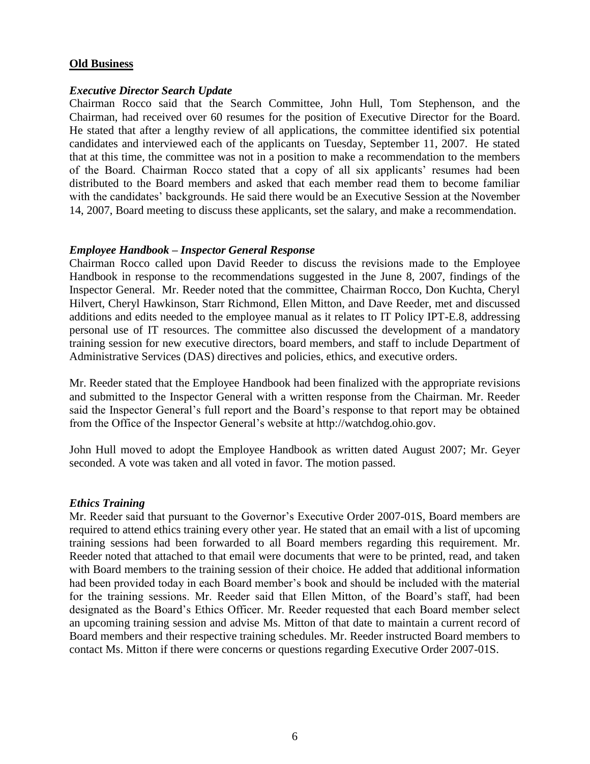#### **Old Business**

#### *Executive Director Search Update*

Chairman Rocco said that the Search Committee, John Hull, Tom Stephenson, and the Chairman, had received over 60 resumes for the position of Executive Director for the Board. He stated that after a lengthy review of all applications, the committee identified six potential candidates and interviewed each of the applicants on Tuesday, September 11, 2007. He stated that at this time, the committee was not in a position to make a recommendation to the members of the Board. Chairman Rocco stated that a copy of all six applicants' resumes had been distributed to the Board members and asked that each member read them to become familiar with the candidates' backgrounds. He said there would be an Executive Session at the November 14, 2007, Board meeting to discuss these applicants, set the salary, and make a recommendation.

## *Employee Handbook – Inspector General Response*

Chairman Rocco called upon David Reeder to discuss the revisions made to the Employee Handbook in response to the recommendations suggested in the June 8, 2007, findings of the Inspector General. Mr. Reeder noted that the committee, Chairman Rocco, Don Kuchta, Cheryl Hilvert, Cheryl Hawkinson, Starr Richmond, Ellen Mitton, and Dave Reeder, met and discussed additions and edits needed to the employee manual as it relates to IT Policy IPT-E.8, addressing personal use of IT resources. The committee also discussed the development of a mandatory training session for new executive directors, board members, and staff to include Department of Administrative Services (DAS) directives and policies, ethics, and executive orders.

Mr. Reeder stated that the Employee Handbook had been finalized with the appropriate revisions and submitted to the Inspector General with a written response from the Chairman. Mr. Reeder said the Inspector General's full report and the Board's response to that report may be obtained from the Office of the Inspector General's website at http://watchdog.ohio.gov.

John Hull moved to adopt the Employee Handbook as written dated August 2007; Mr. Geyer seconded. A vote was taken and all voted in favor. The motion passed.

#### *Ethics Training*

Mr. Reeder said that pursuant to the Governor's Executive Order 2007-01S, Board members are required to attend ethics training every other year. He stated that an email with a list of upcoming training sessions had been forwarded to all Board members regarding this requirement. Mr. Reeder noted that attached to that email were documents that were to be printed, read, and taken with Board members to the training session of their choice. He added that additional information had been provided today in each Board member's book and should be included with the material for the training sessions. Mr. Reeder said that Ellen Mitton, of the Board's staff, had been designated as the Board's Ethics Officer. Mr. Reeder requested that each Board member select an upcoming training session and advise Ms. Mitton of that date to maintain a current record of Board members and their respective training schedules. Mr. Reeder instructed Board members to contact Ms. Mitton if there were concerns or questions regarding Executive Order 2007-01S.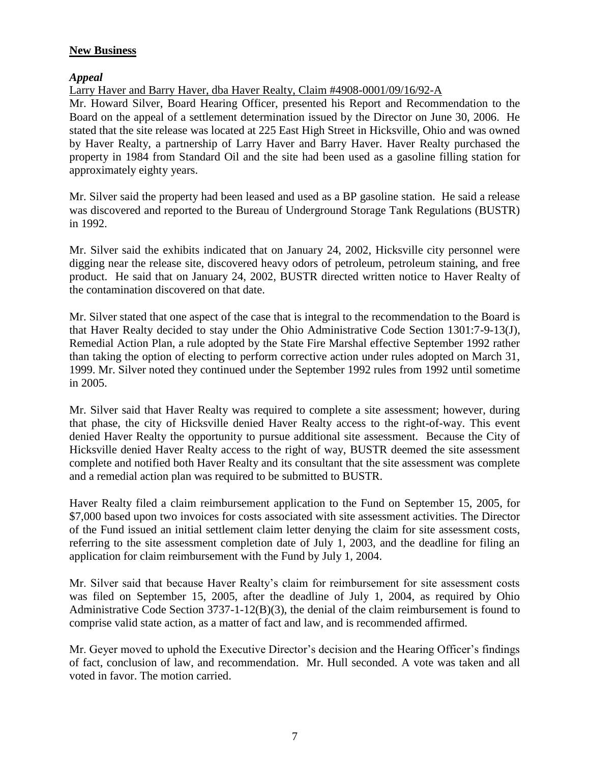## **New Business**

## *Appeal*

Larry Haver and Barry Haver, dba Haver Realty, Claim #4908-0001/09/16/92-A

Mr. Howard Silver, Board Hearing Officer, presented his Report and Recommendation to the Board on the appeal of a settlement determination issued by the Director on June 30, 2006. He stated that the site release was located at 225 East High Street in Hicksville, Ohio and was owned by Haver Realty, a partnership of Larry Haver and Barry Haver. Haver Realty purchased the property in 1984 from Standard Oil and the site had been used as a gasoline filling station for approximately eighty years.

Mr. Silver said the property had been leased and used as a BP gasoline station. He said a release was discovered and reported to the Bureau of Underground Storage Tank Regulations (BUSTR) in 1992.

Mr. Silver said the exhibits indicated that on January 24, 2002, Hicksville city personnel were digging near the release site, discovered heavy odors of petroleum, petroleum staining, and free product. He said that on January 24, 2002, BUSTR directed written notice to Haver Realty of the contamination discovered on that date.

Mr. Silver stated that one aspect of the case that is integral to the recommendation to the Board is that Haver Realty decided to stay under the Ohio Administrative Code Section 1301:7-9-13(J), Remedial Action Plan, a rule adopted by the State Fire Marshal effective September 1992 rather than taking the option of electing to perform corrective action under rules adopted on March 31, 1999. Mr. Silver noted they continued under the September 1992 rules from 1992 until sometime in 2005.

Mr. Silver said that Haver Realty was required to complete a site assessment; however, during that phase, the city of Hicksville denied Haver Realty access to the right-of-way. This event denied Haver Realty the opportunity to pursue additional site assessment. Because the City of Hicksville denied Haver Realty access to the right of way, BUSTR deemed the site assessment complete and notified both Haver Realty and its consultant that the site assessment was complete and a remedial action plan was required to be submitted to BUSTR.

Haver Realty filed a claim reimbursement application to the Fund on September 15, 2005, for \$7,000 based upon two invoices for costs associated with site assessment activities. The Director of the Fund issued an initial settlement claim letter denying the claim for site assessment costs, referring to the site assessment completion date of July 1, 2003, and the deadline for filing an application for claim reimbursement with the Fund by July 1, 2004.

Mr. Silver said that because Haver Realty's claim for reimbursement for site assessment costs was filed on September 15, 2005, after the deadline of July 1, 2004, as required by Ohio Administrative Code Section 3737-1-12(B)(3), the denial of the claim reimbursement is found to comprise valid state action, as a matter of fact and law, and is recommended affirmed.

Mr. Geyer moved to uphold the Executive Director's decision and the Hearing Officer's findings of fact, conclusion of law, and recommendation. Mr. Hull seconded. A vote was taken and all voted in favor. The motion carried.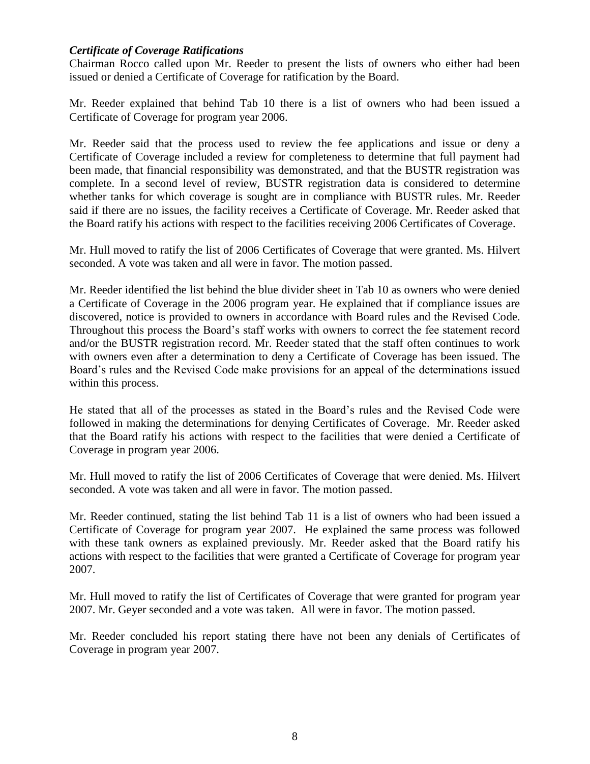## *Certificate of Coverage Ratifications*

Chairman Rocco called upon Mr. Reeder to present the lists of owners who either had been issued or denied a Certificate of Coverage for ratification by the Board.

Mr. Reeder explained that behind Tab 10 there is a list of owners who had been issued a Certificate of Coverage for program year 2006.

Mr. Reeder said that the process used to review the fee applications and issue or deny a Certificate of Coverage included a review for completeness to determine that full payment had been made, that financial responsibility was demonstrated, and that the BUSTR registration was complete. In a second level of review, BUSTR registration data is considered to determine whether tanks for which coverage is sought are in compliance with BUSTR rules. Mr. Reeder said if there are no issues, the facility receives a Certificate of Coverage. Mr. Reeder asked that the Board ratify his actions with respect to the facilities receiving 2006 Certificates of Coverage.

Mr. Hull moved to ratify the list of 2006 Certificates of Coverage that were granted. Ms. Hilvert seconded. A vote was taken and all were in favor. The motion passed.

Mr. Reeder identified the list behind the blue divider sheet in Tab 10 as owners who were denied a Certificate of Coverage in the 2006 program year. He explained that if compliance issues are discovered, notice is provided to owners in accordance with Board rules and the Revised Code. Throughout this process the Board's staff works with owners to correct the fee statement record and/or the BUSTR registration record. Mr. Reeder stated that the staff often continues to work with owners even after a determination to deny a Certificate of Coverage has been issued. The Board's rules and the Revised Code make provisions for an appeal of the determinations issued within this process.

He stated that all of the processes as stated in the Board's rules and the Revised Code were followed in making the determinations for denying Certificates of Coverage. Mr. Reeder asked that the Board ratify his actions with respect to the facilities that were denied a Certificate of Coverage in program year 2006.

Mr. Hull moved to ratify the list of 2006 Certificates of Coverage that were denied. Ms. Hilvert seconded. A vote was taken and all were in favor. The motion passed.

Mr. Reeder continued, stating the list behind Tab 11 is a list of owners who had been issued a Certificate of Coverage for program year 2007. He explained the same process was followed with these tank owners as explained previously. Mr. Reeder asked that the Board ratify his actions with respect to the facilities that were granted a Certificate of Coverage for program year 2007.

Mr. Hull moved to ratify the list of Certificates of Coverage that were granted for program year 2007. Mr. Geyer seconded and a vote was taken. All were in favor. The motion passed.

Mr. Reeder concluded his report stating there have not been any denials of Certificates of Coverage in program year 2007.